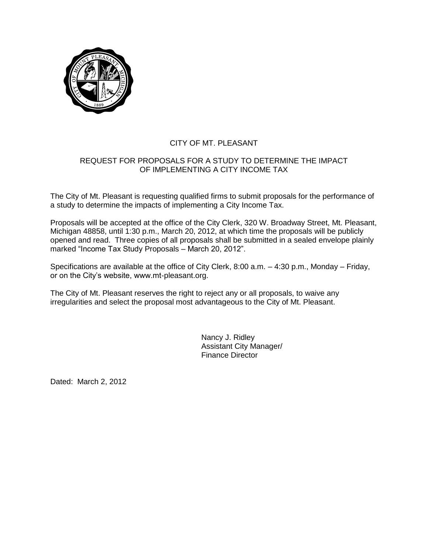

## CITY OF MT. PLEASANT

## REQUEST FOR PROPOSALS FOR A STUDY TO DETERMINE THE IMPACT OF IMPLEMENTING A CITY INCOME TAX

The City of Mt. Pleasant is requesting qualified firms to submit proposals for the performance of a study to determine the impacts of implementing a City Income Tax.

Proposals will be accepted at the office of the City Clerk, 320 W. Broadway Street, Mt. Pleasant, Michigan 48858, until 1:30 p.m., March 20, 2012, at which time the proposals will be publicly opened and read. Three copies of all proposals shall be submitted in a sealed envelope plainly marked "Income Tax Study Proposals – March 20, 2012".

Specifications are available at the office of City Clerk, 8:00 a.m. – 4:30 p.m., Monday – Friday, or on the City's website, www.mt-pleasant.org.

The City of Mt. Pleasant reserves the right to reject any or all proposals, to waive any irregularities and select the proposal most advantageous to the City of Mt. Pleasant.

> Nancy J. Ridley Assistant City Manager/ Finance Director

Dated: March 2, 2012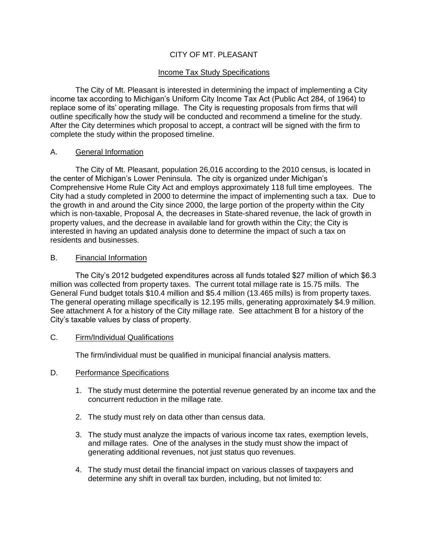## CITY OF MT. PLEASANT

### Income Tax Study Specifications

The City of Mt. Pleasant is interested in determining the impact of implementing a City income tax according to Michigan's Uniform City Income Tax Act (Public Act 284, of 1964) to replace some of its' operating millage. The City is requesting proposals from firms that will outline specifically how the study will be conducted and recommend a timeline for the study. After the City determines which proposal to accept, a contract will be signed with the firm to complete the study within the proposed timeline.

#### A. General Information

The City of Mt. Pleasant, population 26,016 according to the 2010 census, is located in the center of Michigan's Lower Peninsula. The city is organized under Michigan's Comprehensive Home Rule City Act and employs approximately 118 full time employees. The City had a study completed in 2000 to determine the impact of implementing such a tax. Due to the growth in and around the City since 2000, the large portion of the property within the City which is non-taxable, Proposal A, the decreases in State-shared revenue, the lack of growth in property values, and the decrease in available land for growth within the City; the City is interested in having an updated analysis done to determine the impact of such a tax on residents and businesses.

#### B. Financial Information

The City's 2012 budgeted expenditures across all funds totaled \$27 million of which \$6.3 million was collected from property taxes. The current total millage rate is 15.75 mills. The General Fund budget totals \$10.4 million and \$5.4 million (13.465 mills) is from property taxes. The general operating millage specifically is 12.195 mills, generating approximately \$4.9 million. See attachment A for a history of the City millage rate. See attachment B for a history of the City's taxable values by class of property.

### C. Firm/Individual Qualifications

The firm/individual must be qualified in municipal financial analysis matters.

### D. Performance Specifications

- 1. The study must determine the potential revenue generated by an income tax and the concurrent reduction in the millage rate.
- 2. The study must rely on data other than census data.
- 3. The study must analyze the impacts of various income tax rates, exemption levels, and millage rates. One of the analyses in the study must show the impact of generating additional revenues, not just status quo revenues.
- 4. The study must detail the financial impact on various classes of taxpayers and determine any shift in overall tax burden, including, but not limited to: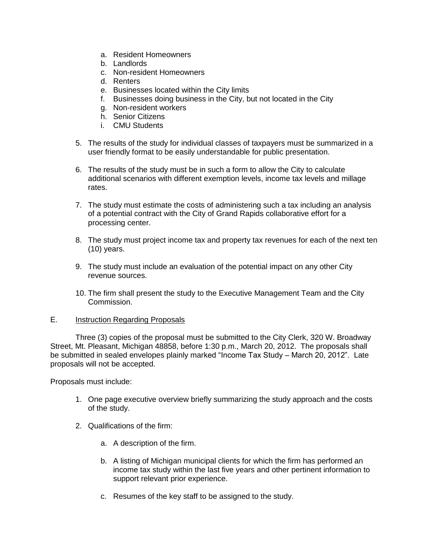- a. Resident Homeowners
- b. Landlords
- c. Non-resident Homeowners
- d. Renters
- e. Businesses located within the City limits
- f. Businesses doing business in the City, but not located in the City
- g. Non-resident workers
- h. Senior Citizens
- i. CMU Students
- 5. The results of the study for individual classes of taxpayers must be summarized in a user friendly format to be easily understandable for public presentation.
- 6. The results of the study must be in such a form to allow the City to calculate additional scenarios with different exemption levels, income tax levels and millage rates.
- 7. The study must estimate the costs of administering such a tax including an analysis of a potential contract with the City of Grand Rapids collaborative effort for a processing center.
- 8. The study must project income tax and property tax revenues for each of the next ten (10) years.
- 9. The study must include an evaluation of the potential impact on any other City revenue sources.
- 10. The firm shall present the study to the Executive Management Team and the City Commission.

## E. Instruction Regarding Proposals

Three (3) copies of the proposal must be submitted to the City Clerk, 320 W. Broadway Street, Mt. Pleasant, Michigan 48858, before 1:30 p.m., March 20, 2012. The proposals shall be submitted in sealed envelopes plainly marked "Income Tax Study – March 20, 2012". Late proposals will not be accepted.

Proposals must include:

- 1. One page executive overview briefly summarizing the study approach and the costs of the study.
- 2. Qualifications of the firm:
	- a. A description of the firm.
	- b. A listing of Michigan municipal clients for which the firm has performed an income tax study within the last five years and other pertinent information to support relevant prior experience.
	- c. Resumes of the key staff to be assigned to the study.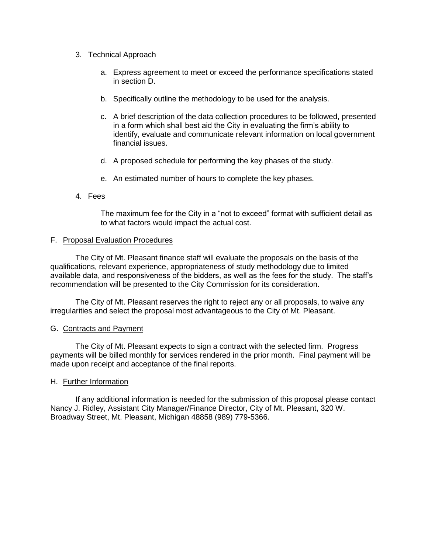- 3. Technical Approach
	- a. Express agreement to meet or exceed the performance specifications stated in section D.
	- b. Specifically outline the methodology to be used for the analysis.
	- c. A brief description of the data collection procedures to be followed, presented in a form which shall best aid the City in evaluating the firm's ability to identify, evaluate and communicate relevant information on local government financial issues.
	- d. A proposed schedule for performing the key phases of the study.
	- e. An estimated number of hours to complete the key phases.
- 4. Fees

The maximum fee for the City in a "not to exceed" format with sufficient detail as to what factors would impact the actual cost.

#### F. Proposal Evaluation Procedures

The City of Mt. Pleasant finance staff will evaluate the proposals on the basis of the qualifications, relevant experience, appropriateness of study methodology due to limited available data, and responsiveness of the bidders, as well as the fees for the study. The staff's recommendation will be presented to the City Commission for its consideration.

The City of Mt. Pleasant reserves the right to reject any or all proposals, to waive any irregularities and select the proposal most advantageous to the City of Mt. Pleasant.

### G. Contracts and Payment

The City of Mt. Pleasant expects to sign a contract with the selected firm. Progress payments will be billed monthly for services rendered in the prior month. Final payment will be made upon receipt and acceptance of the final reports.

#### H. Further Information

If any additional information is needed for the submission of this proposal please contact Nancy J. Ridley, Assistant City Manager/Finance Director, City of Mt. Pleasant, 320 W. Broadway Street, Mt. Pleasant, Michigan 48858 (989) 779-5366.